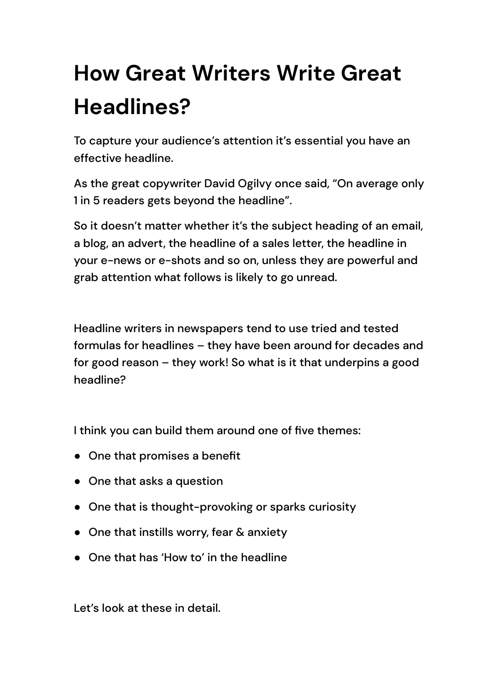# **How Great Writers Write Great Headlines?**

To capture your audience's attention it's essential you have an effective headline.

As the great copywriter David Ogilvy once said, "On average only 1 in 5 readers gets beyond the headline".

So it doesn't matter whether it's the subject heading of an email, a blog, an advert, the headline of a sales letter, the headline in your e-news or e-shots and so on, unless they are powerful and grab attention what follows is likely to go unread.

Headline writers in newspapers tend to use tried and tested formulas for headlines – they have been around for decades and for good reason – they work! So what is it that underpins a good headline?

I think you can build them around one of five themes:

- One that promises a benefit
- One that asks a question
- One that is thought-provoking or sparks curiosity
- One that instills worry, fear & anxiety
- One that has 'How to' in the headline

Let's look at these in detail.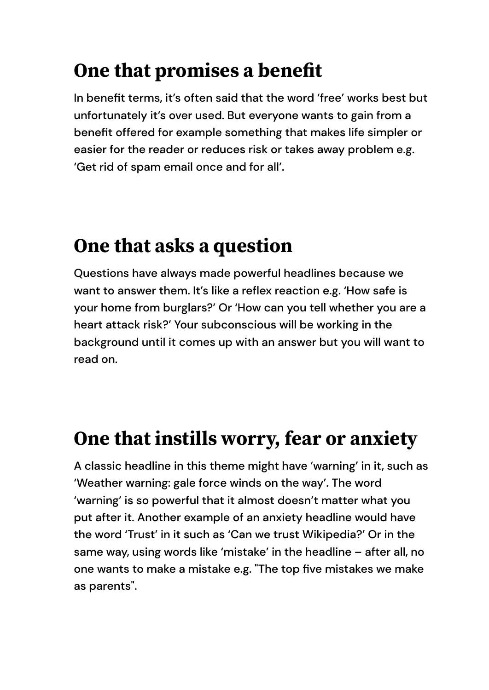## **One that promises a benefit**

In benefit terms, it's often said that the word 'free' works best but unfortunately it's over used. But everyone wants to gain from a benefit offered for example something that makes life simpler or easier for the reader or reduces risk or takes away problem e.g. 'Get rid of spam email once and for all'.

#### **One that asks a question**

Questions have always made powerful headlines because we want to answer them. It's like a reflex reaction e.g. 'How safe is your home from burglars?' Or 'How can you tell whether you are a heart attack risk?' Your subconscious will be working in the background until it comes up with an answer but you will want to read on.

#### **One that instills worry, fear or anxiety**

A classic headline in this theme might have 'warning' in it, such as 'Weather warning: gale force winds on the way'. The word 'warning' is so powerful that it almost doesn't matter what you put after it. Another example of an anxiety headline would have the word 'Trust' in it such as 'Can we trust Wikipedia?' Or in the same way, using words like 'mistake' in the headline – after all, no one wants to make a mistake e.g. "The top five mistakes we make as parents".